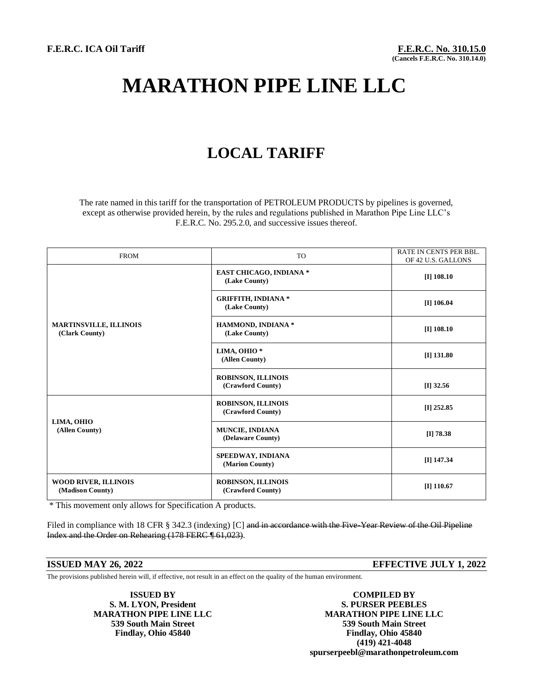# **MARATHON PIPE LINE LLC**

## **LOCAL TARIFF**

The rate named in this tariff for the transportation of PETROLEUM PRODUCTS by pipelines is governed, except as otherwise provided herein, by the rules and regulations published in Marathon Pipe Line LLC's F.E.R.C. No. 295.2.0, and successive issues thereof.

| <b>FROM</b>                                     | <b>TO</b>                                       | <b>RATE IN CENTS PER BBL.</b><br>OF 42 U.S. GALLONS |
|-------------------------------------------------|-------------------------------------------------|-----------------------------------------------------|
| <b>MARTINSVILLE, ILLINOIS</b><br>(Clark County) | <b>EAST CHICAGO, INDIANA *</b><br>(Lake County) | $[I]$ 108.10                                        |
|                                                 | <b>GRIFFITH, INDIANA *</b><br>(Lake County)     | $[I]$ 106.04                                        |
|                                                 | HAMMOND, INDIANA *<br>(Lake County)             | $[I]$ 108.10                                        |
|                                                 | LIMA, OHIO <sup>*</sup><br>(Allen County)       | $[I]$ 131.80                                        |
|                                                 | ROBINSON, ILLINOIS<br>(Crawford County)         | $[I]$ 32.56                                         |
| LIMA, OHIO<br>(Allen County)                    | <b>ROBINSON, ILLINOIS</b><br>(Crawford County)  | $[I]$ 252.85                                        |
|                                                 | <b>MUNCIE, INDIANA</b><br>(Delaware County)     | $[I]$ 78.38                                         |
|                                                 | SPEEDWAY, INDIANA<br>(Marion County)            | $[I]$ 147.34                                        |
| WOOD RIVER, ILLINOIS<br>(Madison County)        | <b>ROBINSON, ILLINOIS</b><br>(Crawford County)  | $[I]$ 110.67                                        |

\* This movement only allows for Specification A products.

Filed in compliance with 18 CFR § 342.3 (indexing) [C] and in accordance with the Five-Year Review of the Oil Pipeline Index and the Order on Rehearing (178 FERC ¶ 61,023).

## **ISSUED MAY 26, 2022 EFFECTIVE JULY 1, 2022**

The provisions published herein will, if effective, not result in an effect on the quality of the human environment.

**S. M. LYON, President** 

**ISSUED BY COMPILED BY**<br> **COMPILED BY**<br> **COMPILED BY**<br> **COMPILED BY MARATHON PIPE LINE LLC MARATHON PIPE LINE LLC 539 South Main Street 539 South Main Street Findlay, Ohio 45840 Findlay, Ohio 45840 (419) 421-4048 spurserpeebl@marathonpetroleum.com**